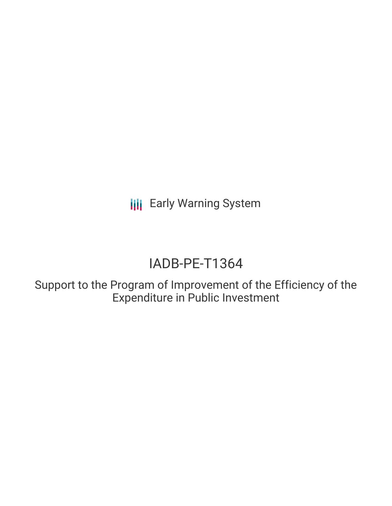**III** Early Warning System

# IADB-PE-T1364

Support to the Program of Improvement of the Efficiency of the Expenditure in Public Investment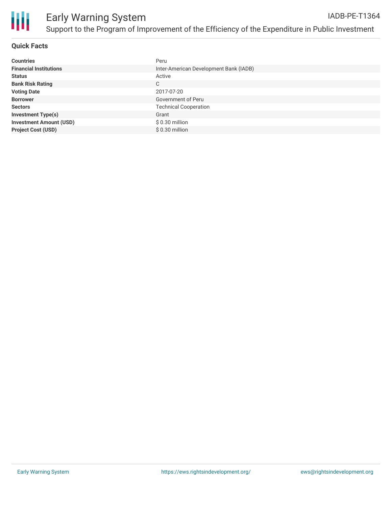

## **Quick Facts**

| <b>Countries</b>               | Peru                                   |
|--------------------------------|----------------------------------------|
| <b>Financial Institutions</b>  | Inter-American Development Bank (IADB) |
| <b>Status</b>                  | Active                                 |
| <b>Bank Risk Rating</b>        | C                                      |
| <b>Voting Date</b>             | 2017-07-20                             |
| <b>Borrower</b>                | Government of Peru                     |
| <b>Sectors</b>                 | <b>Technical Cooperation</b>           |
| <b>Investment Type(s)</b>      | Grant                                  |
| <b>Investment Amount (USD)</b> | $$0.30$ million                        |
| <b>Project Cost (USD)</b>      | $$0.30$ million                        |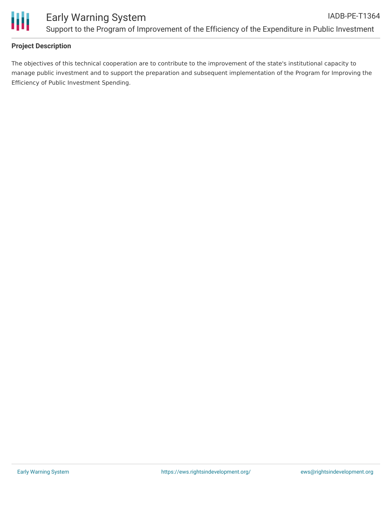

# **Project Description**

The objectives of this technical cooperation are to contribute to the improvement of the state's institutional capacity to manage public investment and to support the preparation and subsequent implementation of the Program for Improving the Efficiency of Public Investment Spending.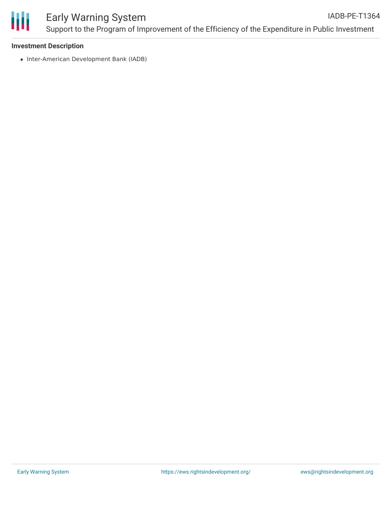

#### **Investment Description**

• Inter-American Development Bank (IADB)